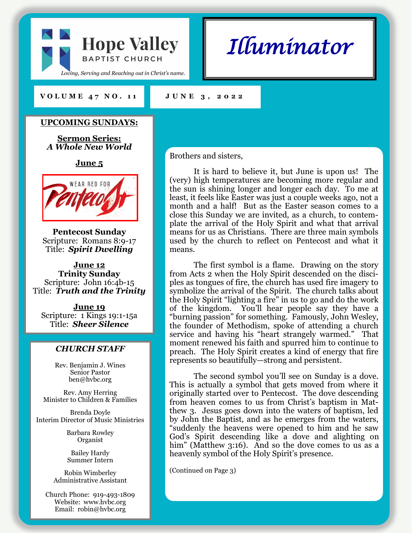

*Illuminator* 

#### **V O L U M E 4 7 N O . 1 1 J U N E 3 , 2 0 2 2**

**UPCOMING SUNDAYS:**

**Sermon Series:** *A Whole New World*

**June 5**



**Pentecost Sunday** Scripture: Romans 8:9-17 Title: *Spirit Dwelling*

**June 12 Trinity Sunday** Scripture: John 16:4b-15 Title: *Truth and the Trinity*

**June 19** Scripture: 1 Kings 19:1-15a Title: *Sheer Silence*

#### *CHURCH STAFF*

Rev. Benjamin J. Wines Senior Pastor ben@hvbc.org

Rev. Amy Herring Minister to Children & Families

Brenda Doyle Interim Director of Music Ministries

> Barbara Rowley Organist

Bailey Hardy Summer Intern

Robin Wimberley Administrative Assistant

Church Phone: 919-493-1809 Website: www.hvbc.org Email: robin@hvbc.org

Brothers and sisters,

It is hard to believe it, but June is upon us! The (very) high temperatures are becoming more regular and the sun is shining longer and longer each day. To me at least, it feels like Easter was just a couple weeks ago, not a month and a half! But as the Easter season comes to a close this Sunday we are invited, as a church, to contemplate the arrival of the Holy Spirit and what that arrival means for us as Christians. There are three main symbols used by the church to reflect on Pentecost and what it means.

The first symbol is a flame. Drawing on the story from Acts 2 when the Holy Spirit descended on the disciples as tongues of fire, the church has used fire imagery to symbolize the arrival of the Spirit. The church talks about the Holy Spirit "lighting a fire" in us to go and do the work of the kingdom. You'll hear people say they have a "burning passion" for something. Famously, John Wesley, the founder of Methodism, spoke of attending a church service and having his "heart strangely warmed." That moment renewed his faith and spurred him to continue to preach. The Holy Spirit creates a kind of energy that fire represents so beautifully—strong and persistent.

The second symbol you'll see on Sunday is a dove. This is actually a symbol that gets moved from where it originally started over to Pentecost. The dove descending from heaven comes to us from Christ's baptism in Matthew 3. Jesus goes down into the waters of baptism, led by John the Baptist, and as he emerges from the waters, "suddenly the heavens were opened to him and he saw God's Spirit descending like a dove and alighting on him" (Matthew 3:16). And so the dove comes to us as a heavenly symbol of the Holy Spirit's presence.

(Continued on Page 3)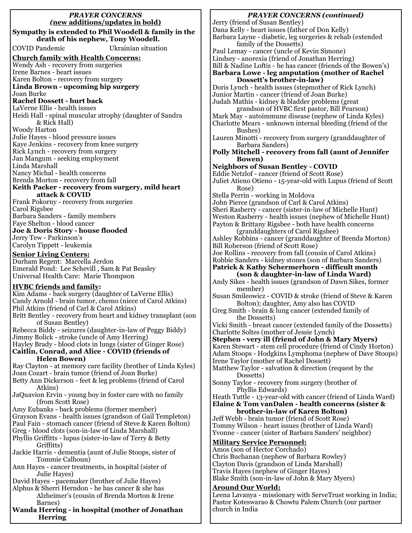#### *PRAYER CONCERNS (***new additions/updates in bold) Sympathy is extended to Phil Woodell & family in the death of his nephew, Tony Woodell.**  COVID Pandemic Ukrainian situation **Church family with Health Concerns:** Wendy Ash - recovery from surgeries Irene Barnes - heart issues Karen Bolton - recovery from surgery **Linda Brown - upcoming hip surgery** Joan Burke **Rachel Dossett - hurt back** LaVerne Ellis - health issues Heidi Hall - spinal muscular atrophy (daughter of Sandra & Rick Hall) Woody Harton Julie Hayes - blood pressure issues Kaye Jenkins - recovery from knee surgery Rick Lynch - recovery from surgery Jan Mangum - seeking employment Linda Marshall Nancy Michal - health concerns Brenda Morton - recovery from fall **Keith Packer - recovery from surgery, mild heart attack & COVID** Frank Pokorny - recovery from surgeries Carol Rigsbee Barbara Sanders - family members Faye Shelton - blood cancer **Joe & Doris Story - house flooded** Jerry Tew - Parkinson's Carolyn Tippett - leukemia **Senior Living Centers:** Durham Regent: Marcella Jerdon Emerald Pond: Lee Schevill , Sam & Pat Beasley Universal Health Care: Marie Thompson **HVBC friends and family:** Kim Adams - back surgery (daughter of LaVerne Ellis) Candy Arnold - brain tumor, chemo (niece of Carol Atkins) Phil Atkins (friend of Carl & Carol Atkins) Britt Bentley - recovery from heart and kidney transplant (son of Susan Bentley) Rebecca Biddy - seizures (daughter-in-law of Peggy Biddy) Jimmy Bolick - stroke (uncle of Amy Herring) Hayley Brady - blood clots in lungs (sister of Ginger Rose) **Caitlin, Conrad, and Alice - COVID (friends of Helen Bowen)** Ray Clayton - at memory care facility (brother of Linda Kyles) Joan Cozart - brain tumor (friend of Joan Burke) Betty Ann Dickerson - feet & leg problems (friend of Carol Atkins) JaQuavion Ervin - young boy in foster care with no family (from Scott Rose) Amy Eubanks - back problems (former member) Grayson Evans - health issues (grandson of Gail Templeton) Paul Fain - stomach cancer (friend of Steve & Karen Bolton) Greg - blood clots (son-in-law of Linda Marshall) Phyllis Griffitts - lupus (sister-in-law of Terry & Betty Griffitts) Jackie Harris - dementia (aunt of Julie Stoops, sister of Tommie Calhoun) Ann Hayes - cancer treatments, in hospital (sister of Julie Hayes) David Hayes - pacemaker (brother of Julie Hayes) Alphus & Sherri Herndon - he has cancer & she has Alzheimer's (cousin of Brenda Morton & Irene Barnes) **Wanda Herring - in hospital (mother of Jonathan Herring** Pastor Koteswarao & Chowtu Palem Church (our partner church in India

#### *PRAYER CONCERNS (continued)* Jerry (friend of Susan Bentley) Dana Kelly - heart issues (father of Don Kelly) Barbara Layne - diabetic, leg surgeries & rehab (extended family of the Dossetts) Paul Lemay - cancer (uncle of Kevin Simone) Lindsey - anorexia (friend of Jonathan Herring) Bill & Nadine Loftis - he has cancer (friends of the Bowen's) **Barbara Lowe - leg amputation (mother of Rachel Dossett's brother-in-law)** Doris Lynch - health issues (stepmother of Rick Lynch) Junior Martin - cancer (friend of Joan Burke) Judah Mathis - kidney & bladder problems (great grandson of HVBC first pastor, Bill Pearson) Mark May - autoimmune disease (nephew of Linda Kyles) Charlotte Mears - unknown internal bleeding (friend of the Bushes) Lauren Minotti - recovery from surgery (granddaughter of Barbara Sanders) **Polly Mitchell - recovery from fall (aunt of Jennifer Bowen) Neighbors of Susan Bentley - COVID** Eddie Netzlof - cancer (friend of Scott Rose) Juliet Atieno Otieno - 15-year-old with Lupus (friend of Scott Rose) Stella Perrin - working in Moldova John Pierce (grandson of Carl & Carol Atkins) Sheri Rasberry - cancer (sister-in-law of Michelle Hunt) Weston Rasberry - health issues (nephew of Michelle Hunt) Payton & Brittany Rigsbee - both have health concerns (granddaughters of Carol Rigsbee) Ashley Robbins - cancer (granddaughter of Brenda Morton) Bill Roberson (friend of Scott Rose) Joe Rollins - recovery from fall (cousin of Carol Atkins) Robbie Sanders - kidney stones (son of Barbara Sanders) **Patrick & Kathy Schermerhorn - difficult month (son & daughter-in-law of Linda Ward)** Andy Sikes - health issues (grandson of Dawn Sikes, former member) Susan Smileowicz - COVID & stroke (friend of Steve & Karen Bolton); daughter, Amy also has COVID Greg Smith - brain & lung cancer (extended family of the Dossetts) Vicki Smith - breast cancer (extended family of the Dossetts) Charlotte Soltes (mother of Jessie Lynch) **Stephen - very ill (friend of John & Mary Myers)** Karen Stewart - stem cell procedure (friend of Cindy Horton) Adam Stoops - Hodgkins Lymphoma (nephew of Dave Stoops) Irene Taylor (mother of Rachel Dossett) Matthew Taylor - salvation & direction (request by the Dossetts) Sonny Taylor - recovery from surgery (brother of Phyllis Edwards) Heath Tuttle - 13-year-old with cancer (friend of Linda Ward) **Elaine & Tom vanDalen - health concerns (sister & brother-in-law of Karen Bolton)** Jeff Webb - brain tumor (friend of Scott Rose) Tommy Wilson - heart issues (brother of Linda Ward) Yvonne - cancer (sister of Barbara Sanders' neighbor) **Military Service Personnel:** Amos (son of Hector Corchado) Chris Buchanan (nephew of Barbara Rowley) Clayton Davis (grandson of Linda Marshall) Travis Hayes (nephew of Ginger Hayes) Blake Smith (son-in-law of John & Mary Myers) **Around Our World:** Leena Lavanya - missionary with ServeTrust working in India;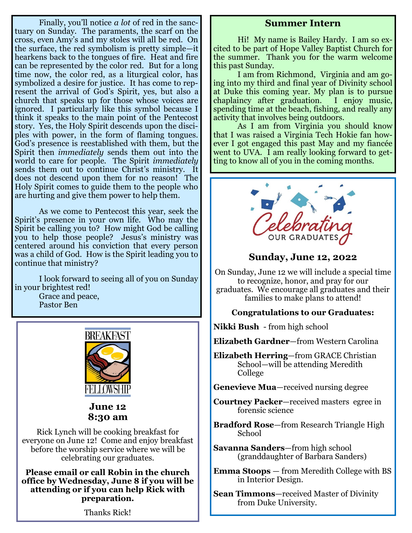Finally, you'll notice *a lot* of red in the sanctuary on Sunday. The paraments, the scarf on the cross, even Amy's and my stoles will all be red. On the surface, the red symbolism is pretty simple—it hearkens back to the tongues of fire. Heat and fire can be represented by the color red. But for a long time now, the color red, as a liturgical color, has symbolized a desire for justice. It has come to represent the arrival of God's Spirit, yes, but also a church that speaks up for those whose voices are ignored. I particularly like this symbol because I think it speaks to the main point of the Pentecost story. Yes, the Holy Spirit descends upon the disciples with power, in the form of flaming tongues. God's presence is reestablished with them, but the Spirit then *immediately* sends them out into the world to care for people. The Spirit *immediately* sends them out to continue Christ's ministry. It does not descend upon them for no reason! The Holy Spirit comes to guide them to the people who are hurting and give them power to help them.

As we come to Pentecost this year, seek the Spirit's presence in your own life. Who may the Spirit be calling you to? How might God be calling you to help those people? Jesus's ministry was centered around his conviction that every person was a child of God. How is the Spirit leading you to continue that ministry?

I look forward to seeing all of you on Sunday in your brightest red! Grace and peace, Pastor Ben



**June 12 8:30 am**

Rick Lynch will be cooking breakfast for everyone on June 12! Come and enjoy breakfast before the worship service where we will be celebrating our graduates.

**Please email or call Robin in the church office by Wednesday, June 8 if you will be attending or if you can help Rick with preparation.**

Thanks Rick!

## **Summer Intern**

Hi! My name is Bailey Hardy. I am so excited to be part of Hope Valley Baptist Church for the summer. Thank you for the warm welcome this past Sunday.

I am from Richmond, Virginia and am going into my third and final year of Divinity school at Duke this coming year. My plan is to pursue chaplaincy after graduation. I enjoy music, spending time at the beach, fishing, and really any activity that involves being outdoors.

As I am from Virginia you should know that I was raised a Virginia Tech Hokie fan however I got engaged this past May and my fiancée went to UVA. I am really looking forward to getting to know all of you in the coming months.



## **Sunday, June 12, 2022**

On Sunday, June 12 we will include a special time to recognize, honor, and pray for our graduates. We encourage all graduates and their families to make plans to attend!

### **Congratulations to our Graduates:**

**Nikki Bush** - from high school

**Elizabeth Gardner**—from Western Carolina

**Elizabeth Herring**—from GRACE Christian School—will be attending Meredith College

**Genevieve Mua**—received nursing degree

**Courtney Packer**—received masters egree in forensic science

**Bradford Rose**—from Research Triangle High School

**Savanna Sanders**—from high school (granddaughter of Barbara Sanders)

**Emma Stoops** — from Meredith College with BS in Interior Design.

**Sean Timmons**—received Master of Divinity from Duke University.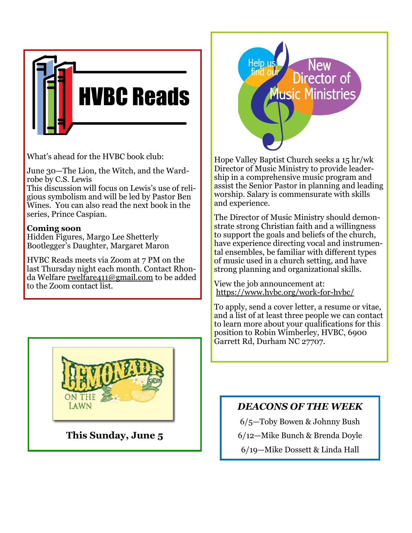

What's ahead for the HVBC book club:

June 30—The Lion, the Witch, and the Wardrobe by C.S. Lewis

This discussion will focus on Lewis's use of religious symbolism and will be led by Pastor Ben Wines. You can also read the next book in the series, Prince Caspian.

## **Coming soon**

Hidden Figures, Margo Lee Shetterly Bootlegger's Daughter, Margaret Maron

HVBC Reads meets via Zoom at 7 PM on the last Thursday night each month. Contact Rhonda Welfare [rwelfare411@gmail.com](mailto:rwelfare411@gmail.com) to be added to the Zoom contact list.



**This Sunday, June 5**



Hope Valley Baptist Church seeks a 15 hr/wk Director of Music Ministry to provide leadership in a comprehensive music program and assist the Senior Pastor in planning and leading worship. Salary is commensurate with skills and experience.

The Director of Music Ministry should demonstrate strong Christian faith and a willingness to support the goals and beliefs of the church, have experience directing vocal and instrumental ensembles, be familiar with different types of music used in a church setting, and have strong planning and organizational skills.

View the job announcement at: [https://www.hvbc.org/work](https://nam02.safelinks.protection.outlook.com/?url=https%3A%2F%2Fwww.hvbc.org%2Fwork-for-hvbc%2F&data=05%7C01%7Crobin%40hvbc.org%7C714d53ac57fe46a8fb0e08da2df20723%7C19334143b857471a909f515a9e93cce3%7C0%7C0%7C637872814789859808%7CUnknown%7CTWFpbGZsb3d8eyJWIj)-for-hvbc/

To apply, send a cover letter, a resume or vitae, and a list of at least three people we can contact to learn more about your qualifications for this position to Robin Wimberley, HVBC, 6900 Garrett Rd, Durham NC 27707.

# *DEACONS OF THE WEEK*

6/5—Toby Bowen & Johnny Bush 6/12—Mike Bunch & Brenda Doyle 6/19—Mike Dossett & Linda Hall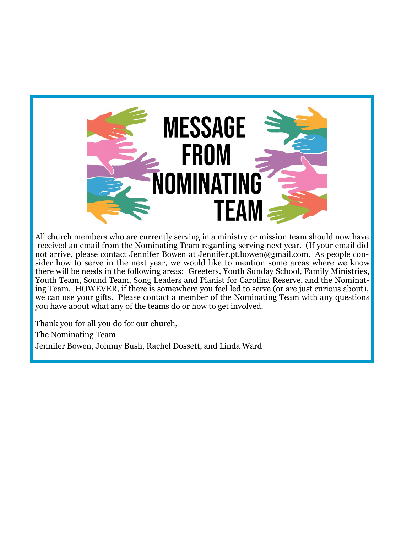

All church members who are currently serving in a ministry or mission team should now have received an email from the Nominating Team regarding serving next year. (If your email did not arrive, please contact Jennifer Bowen at Jennifer.pt.bowen@gmail.com. As people consider how to serve in the next year, we would like to mention some areas where we know there will be needs in the following areas: Greeters, Youth Sunday School, Family Ministries, Youth Team, Sound Team, Song Leaders and Pianist for Carolina Reserve, and the Nominating Team. HOWEVER, if there is somewhere you feel led to serve (or are just curious about), we can use your gifts. Please contact a member of the Nominating Team with any questions you have about what any of the teams do or how to get involved.

Thank you for all you do for our church,

The Nominating Team

Jennifer Bowen, Johnny Bush, Rachel Dossett, and Linda Ward